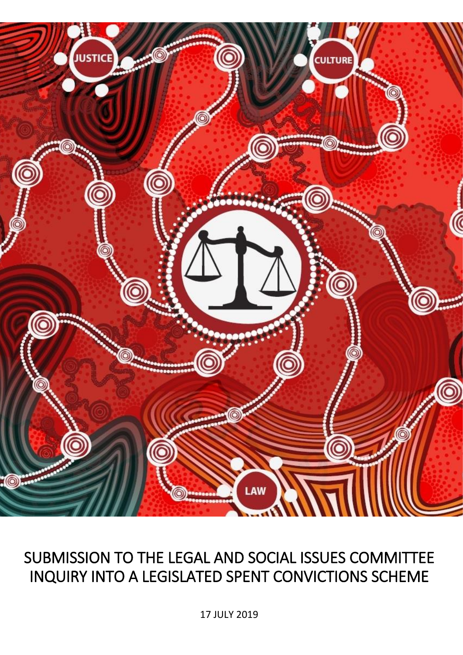

# SUBMISSION TO THE LEGAL AND SOCIAL ISSUES COMMITTEE INQUIRY INTO A LEGISLATED SPENT CONVICTIONS SCHEME

17 JULY 2019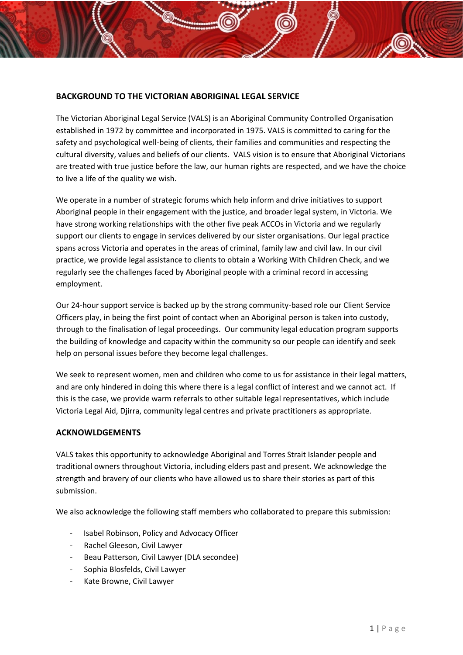## **BACKGROUND TO THE VICTORIAN ABORIGINAL LEGAL SERVICE**

The Victorian Aboriginal Legal Service (VALS) is an Aboriginal Community Controlled Organisation established in 1972 by committee and incorporated in 1975. VALS is committed to caring for the safety and psychological well-being of clients, their families and communities and respecting the cultural diversity, values and beliefs of our clients. VALS vision is to ensure that Aboriginal Victorians are treated with true justice before the law, our human rights are respected, and we have the choice to live a life of the quality we wish.

We operate in a number of strategic forums which help inform and drive initiatives to support Aboriginal people in their engagement with the justice, and broader legal system, in Victoria. We have strong working relationships with the other five peak ACCOs in Victoria and we regularly support our clients to engage in services delivered by our sister organisations. Our legal practice spans across Victoria and operates in the areas of criminal, family law and civil law. In our civil practice, we provide legal assistance to clients to obtain a Working With Children Check, and we regularly see the challenges faced by Aboriginal people with a criminal record in accessing employment.

Our 24-hour support service is backed up by the strong community-based role our Client Service Officers play, in being the first point of contact when an Aboriginal person is taken into custody, through to the finalisation of legal proceedings. Our community legal education program supports the building of knowledge and capacity within the community so our people can identify and seek help on personal issues before they become legal challenges.

We seek to represent women, men and children who come to us for assistance in their legal matters, and are only hindered in doing this where there is a legal conflict of interest and we cannot act. If this is the case, we provide warm referrals to other suitable legal representatives, which include Victoria Legal Aid, Djirra, community legal centres and private practitioners as appropriate.

#### **ACKNOWLDGEMENTS**

VALS takes this opportunity to acknowledge Aboriginal and Torres Strait Islander people and traditional owners throughout Victoria, including elders past and present. We acknowledge the strength and bravery of our clients who have allowed us to share their stories as part of this submission.

We also acknowledge the following staff members who collaborated to prepare this submission:

- Isabel Robinson, Policy and Advocacy Officer
- Rachel Gleeson, Civil Lawyer
- Beau Patterson, Civil Lawyer (DLA secondee)
- Sophia Blosfelds, Civil Lawyer
- Kate Browne, Civil Lawyer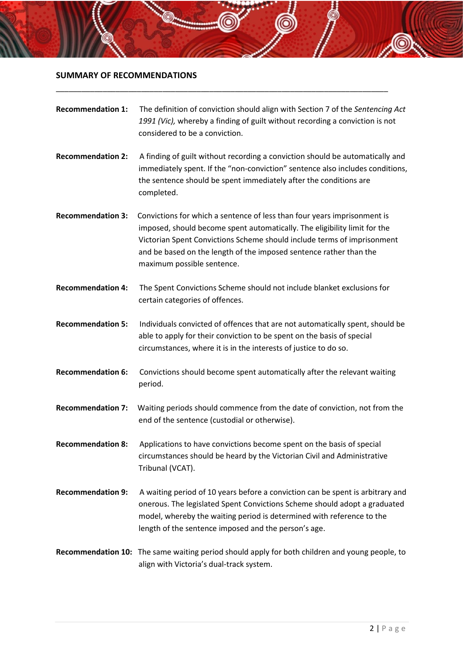# **SUMMARY OF RECOMMENDATIONS**

| <b>Recommendation 1:</b> | The definition of conviction should align with Section 7 of the Sentencing Act<br>1991 (Vic), whereby a finding of guilt without recording a conviction is not<br>considered to be a conviction.                                                                                                                                     |
|--------------------------|--------------------------------------------------------------------------------------------------------------------------------------------------------------------------------------------------------------------------------------------------------------------------------------------------------------------------------------|
| <b>Recommendation 2:</b> | A finding of guilt without recording a conviction should be automatically and<br>immediately spent. If the "non-conviction" sentence also includes conditions,<br>the sentence should be spent immediately after the conditions are<br>completed.                                                                                    |
| <b>Recommendation 3:</b> | Convictions for which a sentence of less than four years imprisonment is<br>imposed, should become spent automatically. The eligibility limit for the<br>Victorian Spent Convictions Scheme should include terms of imprisonment<br>and be based on the length of the imposed sentence rather than the<br>maximum possible sentence. |
| <b>Recommendation 4:</b> | The Spent Convictions Scheme should not include blanket exclusions for<br>certain categories of offences.                                                                                                                                                                                                                            |
| <b>Recommendation 5:</b> | Individuals convicted of offences that are not automatically spent, should be<br>able to apply for their conviction to be spent on the basis of special<br>circumstances, where it is in the interests of justice to do so.                                                                                                          |
| <b>Recommendation 6:</b> | Convictions should become spent automatically after the relevant waiting<br>period.                                                                                                                                                                                                                                                  |
| <b>Recommendation 7:</b> | Waiting periods should commence from the date of conviction, not from the<br>end of the sentence (custodial or otherwise).                                                                                                                                                                                                           |
| <b>Recommendation 8:</b> | Applications to have convictions become spent on the basis of special<br>circumstances should be heard by the Victorian Civil and Administrative<br>Tribunal (VCAT).                                                                                                                                                                 |
| <b>Recommendation 9:</b> | A waiting period of 10 years before a conviction can be spent is arbitrary and<br>onerous. The legislated Spent Convictions Scheme should adopt a graduated<br>model, whereby the waiting period is determined with reference to the<br>length of the sentence imposed and the person's age.                                         |
|                          | Recommendation 10: The same waiting period should apply for both children and young people, to<br>align with Victoria's dual-track system.                                                                                                                                                                                           |

\_\_\_\_\_\_\_\_\_\_\_\_\_\_\_\_\_\_\_\_\_\_\_\_\_\_\_\_\_\_\_\_\_\_\_\_\_\_\_\_\_\_\_\_\_\_\_\_\_\_\_\_\_\_\_\_\_\_\_\_\_\_\_\_\_\_\_\_\_\_\_\_\_\_\_\_\_\_

 $\circledcirc$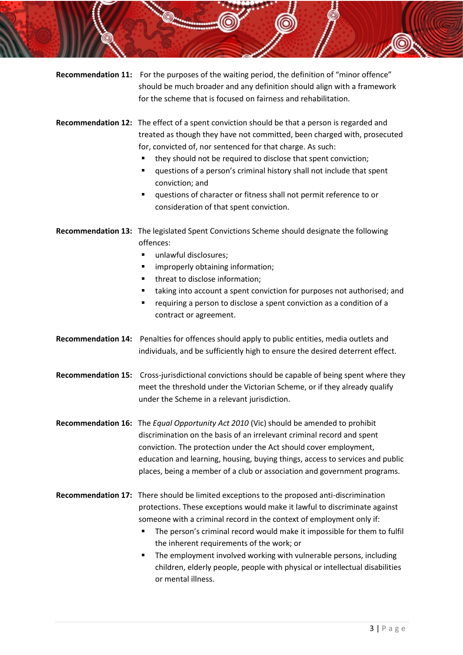| <b>Recommendation 11:</b> | For the purposes of the waiting period, the definition of "minor offence"<br>should be much broader and any definition should align with a framework<br>for the scheme that is focused on fairness and rehabilitation.                                                                                                                                                                                                                                                                                                                                        |
|---------------------------|---------------------------------------------------------------------------------------------------------------------------------------------------------------------------------------------------------------------------------------------------------------------------------------------------------------------------------------------------------------------------------------------------------------------------------------------------------------------------------------------------------------------------------------------------------------|
|                           | Recommendation 12: The effect of a spent conviction should be that a person is regarded and<br>treated as though they have not committed, been charged with, prosecuted<br>for, convicted of, nor sentenced for that charge. As such:<br>they should not be required to disclose that spent conviction;<br>٠<br>questions of a person's criminal history shall not include that spent<br>٠<br>conviction; and<br>questions of character or fitness shall not permit reference to or<br>٠<br>consideration of that spent conviction.                           |
|                           | Recommendation 13: The legislated Spent Convictions Scheme should designate the following<br>offences:<br>unlawful disclosures;<br>٠<br>improperly obtaining information;<br>п<br>threat to disclose information;<br>٠<br>taking into account a spent conviction for purposes not authorised; and<br>٠<br>requiring a person to disclose a spent conviction as a condition of a<br>٠<br>contract or agreement.                                                                                                                                                |
| <b>Recommendation 14:</b> | Penalties for offences should apply to public entities, media outlets and<br>individuals, and be sufficiently high to ensure the desired deterrent effect.                                                                                                                                                                                                                                                                                                                                                                                                    |
|                           | Recommendation 15: Cross-jurisdictional convictions should be capable of being spent where they<br>meet the threshold under the Victorian Scheme, or if they already qualify<br>under the Scheme in a relevant jurisdiction.                                                                                                                                                                                                                                                                                                                                  |
|                           | Recommendation 16: The Equal Opportunity Act 2010 (Vic) should be amended to prohibit<br>discrimination on the basis of an irrelevant criminal record and spent<br>conviction. The protection under the Act should cover employment,<br>education and learning, housing, buying things, access to services and public<br>places, being a member of a club or association and government programs.                                                                                                                                                             |
|                           | Recommendation 17: There should be limited exceptions to the proposed anti-discrimination<br>protections. These exceptions would make it lawful to discriminate against<br>someone with a criminal record in the context of employment only if:<br>The person's criminal record would make it impossible for them to fulfil<br>п<br>the inherent requirements of the work; or<br>The employment involved working with vulnerable persons, including<br>٠<br>children, elderly people, people with physical or intellectual disabilities<br>or mental illness. |

O.

6

6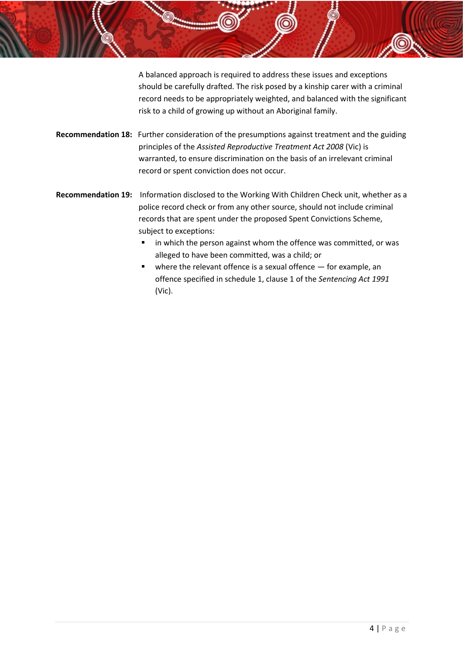A balanced approach is required to address these issues and exceptions should be carefully drafted. The risk posed by a kinship carer with a criminal record needs to be appropriately weighted, and balanced with the significant risk to a child of growing up without an Aboriginal family.

- **Recommendation 18:** Further consideration of the presumptions against treatment and the guiding principles of the *Assisted Reproductive Treatment Act 2008* (Vic) is warranted, to ensure discrimination on the basis of an irrelevant criminal record or spent conviction does not occur.
- **Recommendation 19:** Information disclosed to the Working With Children Check unit, whether as a police record check or from any other source, should not include criminal records that are spent under the proposed Spent Convictions Scheme, subject to exceptions:
	- in which the person against whom the offence was committed, or was alleged to have been committed, was a child; or
	- $\blacksquare$  where the relevant offence is a sexual offence  $-$  for example, an offence specified in schedule 1, clause 1 of the *Sentencing Act 1991*  (Vic).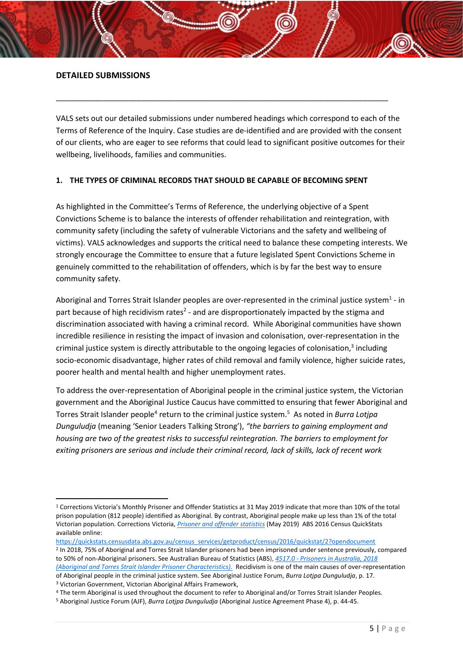#### **DETAILED SUBMISSIONS**

VALS sets out our detailed submissions under numbered headings which correspond to each of the Terms of Reference of the Inquiry. Case studies are de-identified and are provided with the consent of our clients, who are eager to see reforms that could lead to significant positive outcomes for their wellbeing, livelihoods, families and communities.

\_\_\_\_\_\_\_\_\_\_\_\_\_\_\_\_\_\_\_\_\_\_\_\_\_\_\_\_\_\_\_\_\_\_\_\_\_\_\_\_\_\_\_\_\_\_\_\_\_\_\_\_\_\_\_\_\_\_\_\_\_\_\_\_\_\_\_\_\_\_\_\_\_\_\_\_\_\_

#### **1. THE TYPES OF CRIMINAL RECORDS THAT SHOULD BE CAPABLE OF BECOMING SPENT**

As highlighted in the Committee's Terms of Reference, the underlying objective of a Spent Convictions Scheme is to balance the interests of offender rehabilitation and reintegration, with community safety (including the safety of vulnerable Victorians and the safety and wellbeing of victims). VALS acknowledges and supports the critical need to balance these competing interests. We strongly encourage the Committee to ensure that a future legislated Spent Convictions Scheme in genuinely committed to the rehabilitation of offenders, which is by far the best way to ensure community safety.

Aboriginal and Torres Strait Islander peoples are over-represented in the criminal justice system<sup>1</sup> - in part because of high recidivism rates<sup>2</sup> - and are disproportionately impacted by the stigma and discrimination associated with having a criminal record. While Aboriginal communities have shown incredible resilience in resisting the impact of invasion and colonisation, over-representation in the criminal justice system is directly attributable to the ongoing legacies of colonisation,<sup>3</sup> including socio-economic disadvantage, higher rates of child removal and family violence, higher suicide rates, poorer health and mental health and higher unemployment rates.

To address the over-representation of Aboriginal people in the criminal justice system, the Victorian government and the Aboriginal Justice Caucus have committed to ensuring that fewer Aboriginal and Torres Strait Islander people<sup>4</sup> return to the criminal justice system.<sup>5</sup> As noted in *Burra Lotjpa Dunguludja* (meaning 'Senior Leaders Talking Strong'), *"the barriers to gaining employment and housing are two of the greatest risks to successful reintegration. The barriers to employment for exiting prisoners are serious and include their criminal record, lack of skills, lack of recent work*

<sup>3</sup> Victorian Government, Victorian Aboriginal Affairs Framework,

**.** 

<sup>4</sup> The term Aboriginal is used throughout the document to refer to Aboriginal and/or Torres Strait Islander Peoples.

<sup>1</sup> Corrections Victoria's Monthly Prisoner and Offender Statistics at 31 May 2019 indicate that more than 10% of the total prison population (812 people) identified as Aboriginal. By contrast, Aboriginal people make up less than 1% of the total Victorian population. Corrections Victoria, *[Prisoner and offender statistics](https://www.corrections.vic.gov.au/prison/prisoner-and-offender-statistics)* (May 2019) ABS 2016 Census QuickStats available online:

[https://quickstats.censusdata.abs.gov.au/census\\_services/getproduct/census/2016/quickstat/2?opendocument](https://quickstats.censusdata.abs.gov.au/census_services/getproduct/census/2016/quickstat/2?opendocument) 2 In 2018, 75% of Aboriginal and Torres Strait Islander prisoners had been imprisoned under sentence previously, compared to 50% of non-Aboriginal prisoners. See Australian Bureau of Statistics (ABS), *4517.0 - [Prisoners in Australia, 2018](https://www.abs.gov.au/ausstats/abs@.nsf/Lookup/by%20Subject/4517.0~2018~Main%20Features~Aboriginal%20and%20Torres%20Strait%20Islander%20prisoner%20characteristics%20~13)  [\(Aboriginal and Torres Strait Islander Prisoner Characteristics\).](https://www.abs.gov.au/ausstats/abs@.nsf/Lookup/by%20Subject/4517.0~2018~Main%20Features~Aboriginal%20and%20Torres%20Strait%20Islander%20prisoner%20characteristics%20~13)* Recidivism is one of the main causes of over-representation of Aboriginal people in the criminal justice system. See Aboriginal Justice Forum, *Burra Lotjpa Dunguludja*, p. 17.

<sup>5</sup> Aboriginal Justice Forum (AJF), *Burra Lotjpa Dunguludja* (Aboriginal Justice Agreement Phase 4), p. 44-45.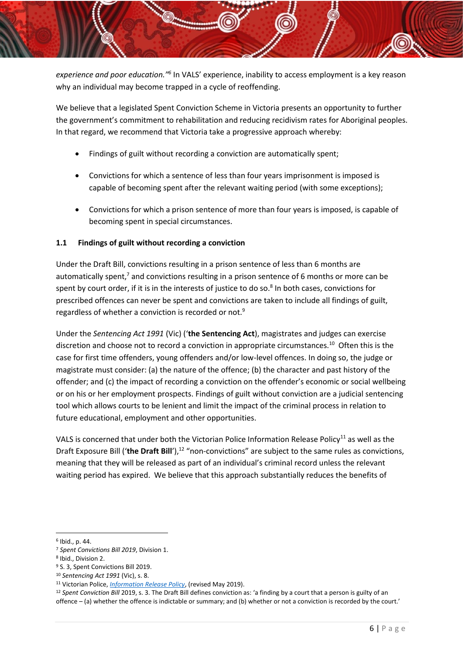*experience and poor education."<sup>6</sup>* In VALS' experience, inability to access employment is a key reason why an individual may become trapped in a cycle of reoffending.

We believe that a legislated Spent Conviction Scheme in Victoria presents an opportunity to further the government's commitment to rehabilitation and reducing recidivism rates for Aboriginal peoples. In that regard, we recommend that Victoria take a progressive approach whereby:

- Findings of guilt without recording a conviction are automatically spent;
- Convictions for which a sentence of less than four years imprisonment is imposed is capable of becoming spent after the relevant waiting period (with some exceptions);
- Convictions for which a prison sentence of more than four years is imposed, is capable of becoming spent in special circumstances.

## **1.1 Findings of guilt without recording a conviction**

Under the Draft Bill, convictions resulting in a prison sentence of less than 6 months are automatically spent,<sup>7</sup> and convictions resulting in a prison sentence of 6 months or more can be spent by court order, if it is in the interests of justice to do so.<sup>8</sup> In both cases, convictions for prescribed offences can never be spent and convictions are taken to include all findings of guilt, regardless of whether a conviction is recorded or not.<sup>9</sup>

Under the *Sentencing Act 1991* (Vic) ('**the Sentencing Act**), magistrates and judges can exercise discretion and choose not to record a conviction in appropriate circumstances.<sup>10</sup> Often this is the case for first time offenders, young offenders and/or low-level offences. In doing so, the judge or magistrate must consider: (a) the nature of the offence; (b) the character and past history of the offender; and (c) the impact of recording a conviction on the offender's economic or social wellbeing or on his or her employment prospects. Findings of guilt without conviction are a judicial sentencing tool which allows courts to be lenient and limit the impact of the criminal process in relation to future educational, employment and other opportunities.

VALS is concerned that under both the Victorian Police Information Release Policy<sup>11</sup> as well as the Draft Exposure Bill ('the Draft Bill'),<sup>12</sup> "non-convictions" are subject to the same rules as convictions, meaning that they will be released as part of an individual's criminal record unless the relevant waiting period has expired. We believe that this approach substantially reduces the benefits of

1

<sup>6</sup> Ibid., p. 44.

<sup>7</sup> *Spent Convictions Bill 2019*, Division 1.

<sup>8</sup> Ibid., Division 2.

<sup>9</sup> S. 3, Spent Convictions Bill 2019.

<sup>10</sup> *Sentencing Act 1991* (Vic), s. 8.

<sup>11</sup> Victorian Police, *[Information Release Policy](Section%208,)*, (revised May 2019).

<sup>12</sup> *Spent Conviction Bill* 2019, s. 3. The Draft Bill defines conviction as: 'a finding by a court that a person is guilty of an offence – (a) whether the offence is indictable or summary; and (b) whether or not a conviction is recorded by the court.'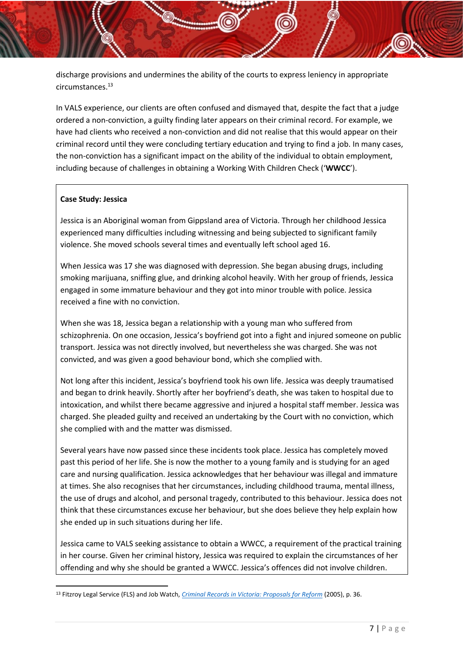discharge provisions and undermines the ability of the courts to express leniency in appropriate circumstances.<sup>13</sup>

In VALS experience, our clients are often confused and dismayed that, despite the fact that a judge ordered a non-conviction, a guilty finding later appears on their criminal record. For example, we have had clients who received a non-conviction and did not realise that this would appear on their criminal record until they were concluding tertiary education and trying to find a job. In many cases, the non-conviction has a significant impact on the ability of the individual to obtain employment, including because of challenges in obtaining a Working With Children Check ('**WWCC**').

#### **Case Study: Jessica**

1

Jessica is an Aboriginal woman from Gippsland area of Victoria. Through her childhood Jessica experienced many difficulties including witnessing and being subjected to significant family violence. She moved schools several times and eventually left school aged 16.

When Jessica was 17 she was diagnosed with depression. She began abusing drugs, including smoking marijuana, sniffing glue, and drinking alcohol heavily. With her group of friends, Jessica engaged in some immature behaviour and they got into minor trouble with police. Jessica received a fine with no conviction.

When she was 18, Jessica began a relationship with a young man who suffered from schizophrenia. On one occasion, Jessica's boyfriend got into a fight and injured someone on public transport. Jessica was not directly involved, but nevertheless she was charged. She was not convicted, and was given a good behaviour bond, which she complied with.

Not long after this incident, Jessica's boyfriend took his own life. Jessica was deeply traumatised and began to drink heavily. Shortly after her boyfriend's death, she was taken to hospital due to intoxication, and whilst there became aggressive and injured a hospital staff member. Jessica was charged. She pleaded guilty and received an undertaking by the Court with no conviction, which she complied with and the matter was dismissed.

Several years have now passed since these incidents took place. Jessica has completely moved past this period of her life. She is now the mother to a young family and is studying for an aged care and nursing qualification. Jessica acknowledges that her behaviour was illegal and immature at times. She also recognises that her circumstances, including childhood trauma, mental illness, the use of drugs and alcohol, and personal tragedy, contributed to this behaviour. Jessica does not think that these circumstances excuse her behaviour, but she does believe they help explain how she ended up in such situations during her life.

Jessica came to VALS seeking assistance to obtain a WWCC, a requirement of the practical training in her course. Given her criminal history, Jessica was required to explain the circumstances of her offending and why she should be granted a WWCC. Jessica's offences did not involve children.

<sup>13</sup> Fitzroy Legal Service (FLS) and Job Watch, *[Criminal Records in Victoria: Proposals for Reform](http://jobwatch.org.au/wp-content/uploads/2018/04/Criminal-records-Final-Copy.pdf)* (2005), p. 36.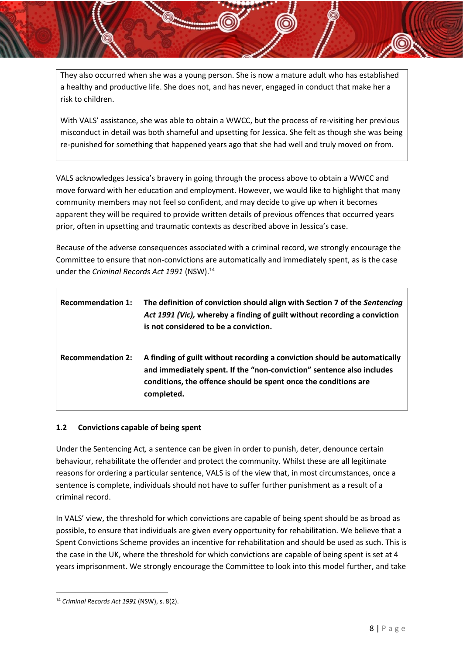They also occurred when she was a young person. She is now a mature adult who has established a healthy and productive life. She does not, and has never, engaged in conduct that make her a risk to children.

With VALS' assistance, she was able to obtain a WWCC, but the process of re-visiting her previous misconduct in detail was both shameful and upsetting for Jessica. She felt as though she was being re-punished for something that happened years ago that she had well and truly moved on from.

VALS acknowledges Jessica's bravery in going through the process above to obtain a WWCC and move forward with her education and employment. However, we would like to highlight that many community members may not feel so confident, and may decide to give up when it becomes apparent they will be required to provide written details of previous offences that occurred years prior, often in upsetting and traumatic contexts as described above in Jessica's case.

Because of the adverse consequences associated with a criminal record, we strongly encourage the Committee to ensure that non-convictions are automatically and immediately spent, as is the case under the *Criminal Records Act 1991* (NSW).<sup>14</sup>

| <b>Recommendation 1:</b> | The definition of conviction should align with Section 7 of the Sentencing<br>Act 1991 (Vic), whereby a finding of guilt without recording a conviction<br>is not considered to be a conviction.                                    |
|--------------------------|-------------------------------------------------------------------------------------------------------------------------------------------------------------------------------------------------------------------------------------|
| <b>Recommendation 2:</b> | A finding of guilt without recording a conviction should be automatically<br>and immediately spent. If the "non-conviction" sentence also includes<br>conditions, the offence should be spent once the conditions are<br>completed. |

#### **1.2 Convictions capable of being spent**

Under the Sentencing Act*,* a sentence can be given in order to punish, deter, denounce certain behaviour, rehabilitate the offender and protect the community. Whilst these are all legitimate reasons for ordering a particular sentence, VALS is of the view that, in most circumstances, once a sentence is complete, individuals should not have to suffer further punishment as a result of a criminal record.

In VALS' view, the threshold for which convictions are capable of being spent should be as broad as possible, to ensure that individuals are given every opportunity for rehabilitation. We believe that a Spent Convictions Scheme provides an incentive for rehabilitation and should be used as such. This is the case in the UK, where the threshold for which convictions are capable of being spent is set at 4 years imprisonment. We strongly encourage the Committee to look into this model further, and take

1

<sup>14</sup> *Criminal Records Act 1991* (NSW), s. 8(2).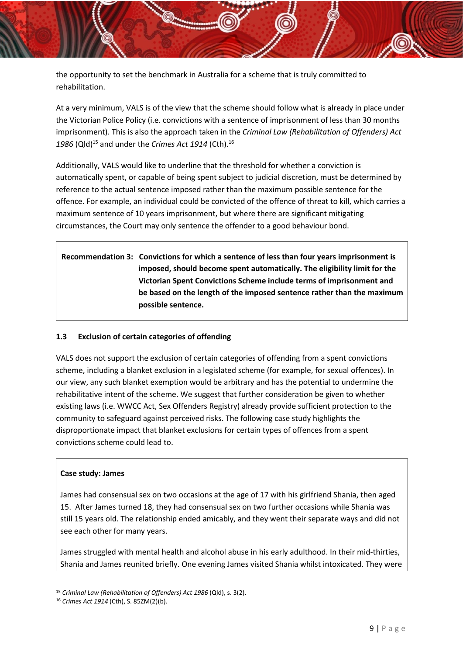the opportunity to set the benchmark in Australia for a scheme that is truly committed to rehabilitation.

At a very minimum, VALS is of the view that the scheme should follow what is already in place under the Victorian Police Policy (i.e. convictions with a sentence of imprisonment of less than 30 months imprisonment). This is also the approach taken in the *Criminal Law (Rehabilitation of Offenders) Act* 1986 (Qld)<sup>15</sup> and under the *Crimes Act 1914* (Cth).<sup>16</sup>

Additionally, VALS would like to underline that the threshold for whether a conviction is automatically spent, or capable of being spent subject to judicial discretion, must be determined by reference to the actual sentence imposed rather than the maximum possible sentence for the offence. For example, an individual could be convicted of the offence of threat to kill, which carries a maximum sentence of 10 years imprisonment, but where there are significant mitigating circumstances, the Court may only sentence the offender to a good behaviour bond.

**Recommendation 3: Convictions for which a sentence of less than four years imprisonment is imposed, should become spent automatically. The eligibility limit for the Victorian Spent Convictions Scheme include terms of imprisonment and be based on the length of the imposed sentence rather than the maximum possible sentence.**

#### **1.3 Exclusion of certain categories of offending**

VALS does not support the exclusion of certain categories of offending from a spent convictions scheme, including a blanket exclusion in a legislated scheme (for example, for sexual offences). In our view, any such blanket exemption would be arbitrary and has the potential to undermine the rehabilitative intent of the scheme. We suggest that further consideration be given to whether existing laws (i.e. WWCC Act, Sex Offenders Registry) already provide sufficient protection to the community to safeguard against perceived risks. The following case study highlights the disproportionate impact that blanket exclusions for certain types of offences from a spent convictions scheme could lead to.

#### **Case study: James**

James had consensual sex on two occasions at the age of 17 with his girlfriend Shania, then aged 15. After James turned 18, they had consensual sex on two further occasions while Shania was still 15 years old. The relationship ended amicably, and they went their separate ways and did not see each other for many years.

James struggled with mental health and alcohol abuse in his early adulthood. In their mid-thirties, Shania and James reunited briefly. One evening James visited Shania whilst intoxicated. They were

<sup>15</sup> *Criminal Law (Rehabilitation of Offenders) Act 1986* (Qld), s. 3(2).

<sup>16</sup> *Crimes Act 1914* (Cth), S. 85ZM(2)(b).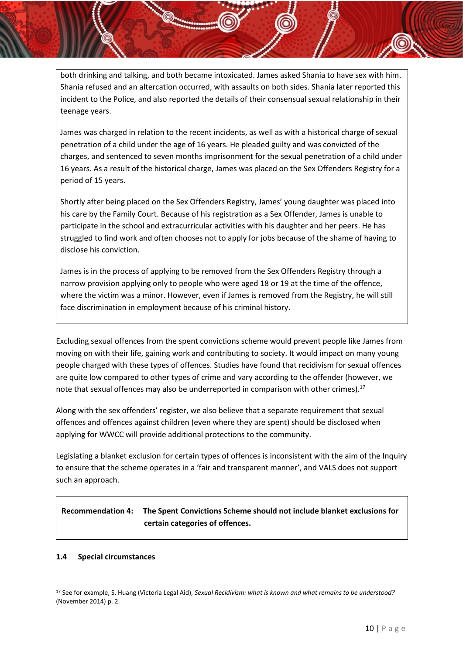both drinking and talking, and both became intoxicated. James asked Shania to have sex with him. Shania refused and an altercation occurred, with assaults on both sides. Shania later reported this incident to the Police, and also reported the details of their consensual sexual relationship in their teenage years.

James was charged in relation to the recent incidents, as well as with a historical charge of sexual penetration of a child under the age of 16 years. He pleaded guilty and was convicted of the charges, and sentenced to seven months imprisonment for the sexual penetration of a child under 16 years. As a result of the historical charge, James was placed on the Sex Offenders Registry for a period of 15 years.

Shortly after being placed on the Sex Offenders Registry, James' young daughter was placed into his care by the Family Court. Because of his registration as a Sex Offender, James is unable to participate in the school and extracurricular activities with his daughter and her peers. He has struggled to find work and often chooses not to apply for jobs because of the shame of having to disclose his conviction.

James is in the process of applying to be removed from the Sex Offenders Registry through a narrow provision applying only to people who were aged 18 or 19 at the time of the offence, where the victim was a minor. However, even if James is removed from the Registry, he will still face discrimination in employment because of his criminal history.

Excluding sexual offences from the spent convictions scheme would prevent people like James from moving on with their life, gaining work and contributing to society. It would impact on many young people charged with these types of offences. Studies have found that recidivism for sexual offences are quite low compared to other types of crime and vary according to the offender (however, we note that sexual offences may also be underreported in comparison with other crimes).<sup>17</sup>

Along with the sex offenders' register, we also believe that a separate requirement that sexual offences and offences against children (even where they are spent) should be disclosed when applying for WWCC will provide additional protections to the community.

Legislating a blanket exclusion for certain types of offences is inconsistent with the aim of the Inquiry to ensure that the scheme operates in a 'fair and transparent manner', and VALS does not support such an approach.

# **Recommendation 4: The Spent Convictions Scheme should not include blanket exclusions for certain categories of offences.**

#### **1.4 Special circumstances**

<sup>17</sup> See for example, S. Huang (Victoria Legal Aid), *Sexual Recidivism: what is known and what remains to be understood?* (November 2014) p. 2.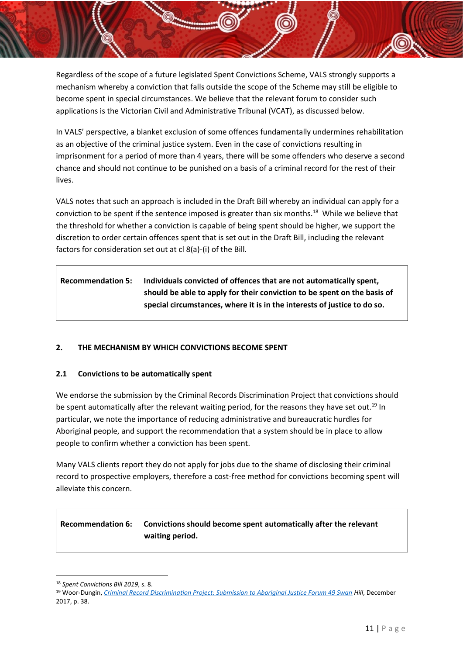Regardless of the scope of a future legislated Spent Convictions Scheme, VALS strongly supports a mechanism whereby a conviction that falls outside the scope of the Scheme may still be eligible to become spent in special circumstances. We believe that the relevant forum to consider such applications is the Victorian Civil and Administrative Tribunal (VCAT), as discussed below.

In VALS' perspective, a blanket exclusion of some offences fundamentally undermines rehabilitation as an objective of the criminal justice system. Even in the case of convictions resulting in imprisonment for a period of more than 4 years, there will be some offenders who deserve a second chance and should not continue to be punished on a basis of a criminal record for the rest of their lives.

VALS notes that such an approach is included in the Draft Bill whereby an individual can apply for a conviction to be spent if the sentence imposed is greater than six months.<sup>18</sup> While we believe that the threshold for whether a conviction is capable of being spent should be higher, we support the discretion to order certain offences spent that is set out in the Draft Bill, including the relevant factors for consideration set out at cl 8(a)-(i) of the Bill.

| <b>Recommendation 5:</b> | Individuals convicted of offences that are not automatically spent,      |
|--------------------------|--------------------------------------------------------------------------|
|                          | should be able to apply for their conviction to be spent on the basis of |
|                          | special circumstances, where it is in the interests of justice to do so. |

## **2. THE MECHANISM BY WHICH CONVICTIONS BECOME SPENT**

#### **2.1 Convictions to be automatically spent**

We endorse the submission by the Criminal Records Discrimination Project that convictions should be spent automatically after the relevant waiting period, for the reasons they have set out.<sup>19</sup> In particular, we note the importance of reducing administrative and bureaucratic hurdles for Aboriginal people, and support the recommendation that a system should be in place to allow people to confirm whether a conviction has been spent.

Many VALS clients report they do not apply for jobs due to the shame of disclosing their criminal record to prospective employers, therefore a cost-free method for convictions becoming spent will alleviate this concern.

# **Recommendation 6: Convictions should become spent automatically after the relevant waiting period.**

**<sup>.</sup>** <sup>18</sup> *Spent Convictions Bill 2019*, s. 8.

<sup>19</sup> Woor-Dungin, *[Criminal Record Discrimination Project: Submission to Aboriginal Justice Forum 49 Swan](https://cij.org.au/cms/wp-content/uploads/2018/08/aboriginal-justice-forum.pdf) Hill*, December 2017, p. 38.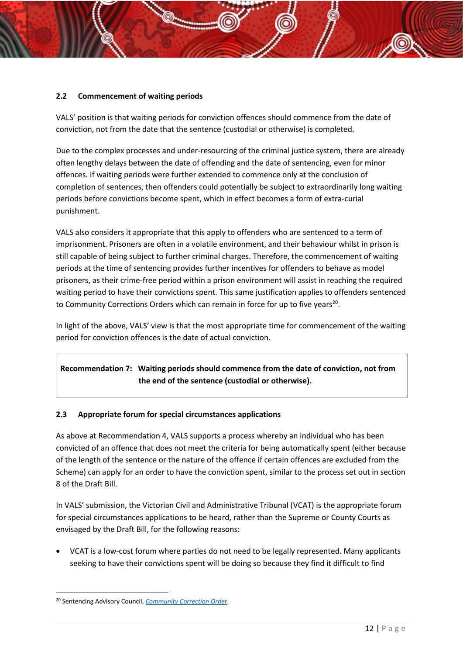## **2.2 Commencement of waiting periods**

VALS' position is that waiting periods for conviction offences should commence from the date of conviction, not from the date that the sentence (custodial or otherwise) is completed.

Due to the complex processes and under-resourcing of the criminal justice system, there are already often lengthy delays between the date of offending and the date of sentencing, even for minor offences. If waiting periods were further extended to commence only at the conclusion of completion of sentences, then offenders could potentially be subject to extraordinarily long waiting periods before convictions become spent, which in effect becomes a form of extra-curial punishment.

VALS also considers it appropriate that this apply to offenders who are sentenced to a term of imprisonment. Prisoners are often in a volatile environment, and their behaviour whilst in prison is still capable of being subject to further criminal charges. Therefore, the commencement of waiting periods at the time of sentencing provides further incentives for offenders to behave as model prisoners, as their crime-free period within a prison environment will assist in reaching the required waiting period to have their convictions spent. This same justification applies to offenders sentenced to Community Corrections Orders which can remain in force for up to five years<sup>20</sup>.

In light of the above, VALS' view is that the most appropriate time for commencement of the waiting period for conviction offences is the date of actual conviction.

# **Recommendation 7: Waiting periods should commence from the date of conviction, not from the end of the sentence (custodial or otherwise).**

#### **2.3 Appropriate forum for special circumstances applications**

As above at Recommendation 4, VALS supports a process whereby an individual who has been convicted of an offence that does not meet the criteria for being automatically spent (either because of the length of the sentence or the nature of the offence if certain offences are excluded from the Scheme) can apply for an order to have the conviction spent, similar to the process set out in section 8 of the Draft Bill.

In VALS' submission, the Victorian Civil and Administrative Tribunal (VCAT) is the appropriate forum for special circumstances applications to be heard, rather than the Supreme or County Courts as envisaged by the Draft Bill, for the following reasons:

• VCAT is a low-cost forum where parties do not need to be legally represented. Many applicants seeking to have their convictions spent will be doing so because they find it difficult to find

<sup>1</sup> <sup>20</sup> Sentencing Advisory Council, *[Community Correction Order](,%20https:/www.sentencingcouncil.vic.gov.au/about-sentencing/sentencing-options-for-adults/community-correction-order)*.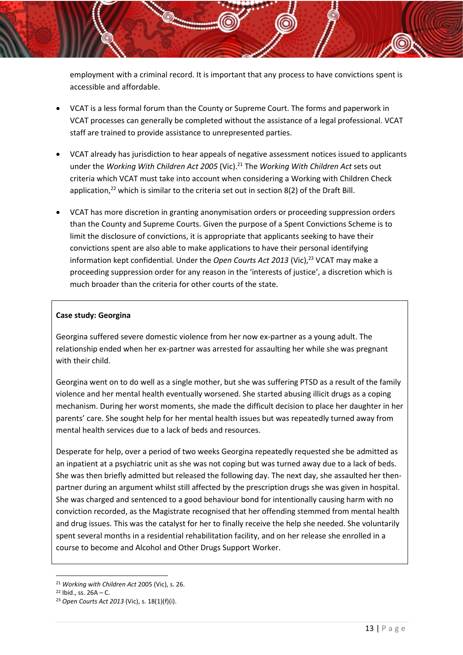employment with a criminal record. It is important that any process to have convictions spent is accessible and affordable.

- VCAT is a less formal forum than the County or Supreme Court. The forms and paperwork in VCAT processes can generally be completed without the assistance of a legal professional. VCAT staff are trained to provide assistance to unrepresented parties.
- VCAT already has jurisdiction to hear appeals of negative assessment notices issued to applicants under the *Working With Children Act 2005* (Vic). <sup>21</sup> The *Working With Children Act* sets out criteria which VCAT must take into account when considering a Working with Children Check application,<sup>22</sup> which is similar to the criteria set out in section 8(2) of the Draft Bill.
- VCAT has more discretion in granting anonymisation orders or proceeding suppression orders than the County and Supreme Courts. Given the purpose of a Spent Convictions Scheme is to limit the disclosure of convictions, it is appropriate that applicants seeking to have their convictions spent are also able to make applications to have their personal identifying information kept confidential. Under the *Open Courts Act 2013* (Vic), <sup>23</sup> VCAT may make a proceeding suppression order for any reason in the 'interests of justice', a discretion which is much broader than the criteria for other courts of the state.

#### **Case study: Georgina**

Georgina suffered severe domestic violence from her now ex-partner as a young adult. The relationship ended when her ex-partner was arrested for assaulting her while she was pregnant with their child.

Georgina went on to do well as a single mother, but she was suffering PTSD as a result of the family violence and her mental health eventually worsened. She started abusing illicit drugs as a coping mechanism. During her worst moments, she made the difficult decision to place her daughter in her parents' care. She sought help for her mental health issues but was repeatedly turned away from mental health services due to a lack of beds and resources.

Desperate for help, over a period of two weeks Georgina repeatedly requested she be admitted as an inpatient at a psychiatric unit as she was not coping but was turned away due to a lack of beds. She was then briefly admitted but released the following day. The next day, she assaulted her thenpartner during an argument whilst still affected by the prescription drugs she was given in hospital. She was charged and sentenced to a good behaviour bond for intentionally causing harm with no conviction recorded, as the Magistrate recognised that her offending stemmed from mental health and drug issues. This was the catalyst for her to finally receive the help she needed. She voluntarily spent several months in a residential rehabilitation facility, and on her release she enrolled in a course to become and Alcohol and Other Drugs Support Worker.

<sup>21</sup> *Working with Children Act* 2005 (Vic), s. 26.

 $22$  Ibid., ss.  $26A - C$ .

<sup>23</sup> *Open Courts Act 2013* (Vic), s. 18(1)(f)(i).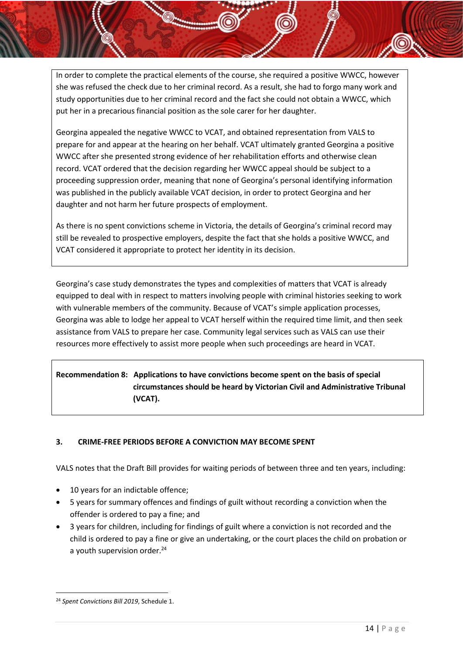In order to complete the practical elements of the course, she required a positive WWCC, however she was refused the check due to her criminal record. As a result, she had to forgo many work and study opportunities due to her criminal record and the fact she could not obtain a WWCC, which put her in a precarious financial position as the sole carer for her daughter.

Georgina appealed the negative WWCC to VCAT, and obtained representation from VALS to prepare for and appear at the hearing on her behalf. VCAT ultimately granted Georgina a positive WWCC after she presented strong evidence of her rehabilitation efforts and otherwise clean record. VCAT ordered that the decision regarding her WWCC appeal should be subject to a proceeding suppression order, meaning that none of Georgina's personal identifying information was published in the publicly available VCAT decision, in order to protect Georgina and her daughter and not harm her future prospects of employment.

As there is no spent convictions scheme in Victoria, the details of Georgina's criminal record may still be revealed to prospective employers, despite the fact that she holds a positive WWCC, and VCAT considered it appropriate to protect her identity in its decision.

Georgina's case study demonstrates the types and complexities of matters that VCAT is already equipped to deal with in respect to matters involving people with criminal histories seeking to work with vulnerable members of the community. Because of VCAT's simple application processes, Georgina was able to lodge her appeal to VCAT herself within the required time limit, and then seek assistance from VALS to prepare her case. Community legal services such as VALS can use their resources more effectively to assist more people when such proceedings are heard in VCAT.

# **Recommendation 8: Applications to have convictions become spent on the basis of special circumstances should be heard by Victorian Civil and Administrative Tribunal (VCAT).**

## **3. CRIME-FREE PERIODS BEFORE A CONVICTION MAY BECOME SPENT**

VALS notes that the Draft Bill provides for waiting periods of between three and ten years, including:

- 10 years for an indictable offence;
- 5 years for summary offences and findings of guilt without recording a conviction when the offender is ordered to pay a fine; and
- 3 years for children, including for findings of guilt where a conviction is not recorded and the child is ordered to pay a fine or give an undertaking, or the court places the child on probation or a youth supervision order.<sup>24</sup>

<sup>1</sup> <sup>24</sup> *Spent Convictions Bill 2019*, Schedule 1.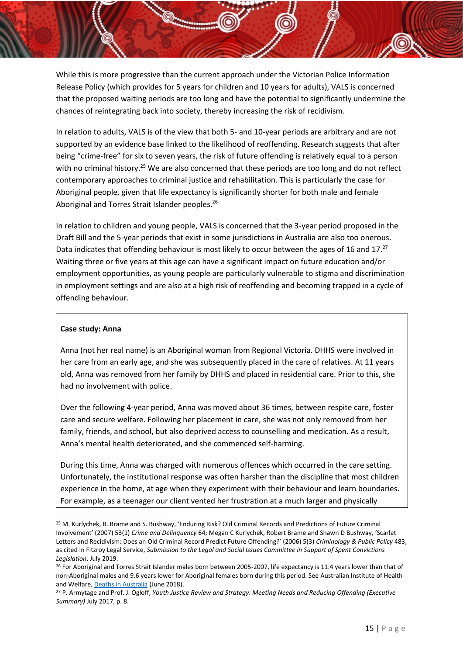While this is more progressive than the current approach under the Victorian Police Information Release Policy (which provides for 5 years for children and 10 years for adults), VALS is concerned that the proposed waiting periods are too long and have the potential to significantly undermine the chances of reintegrating back into society, thereby increasing the risk of recidivism.

In relation to adults, VALS is of the view that both 5- and 10-year periods are arbitrary and are not supported by an evidence base linked to the likelihood of reoffending. Research suggests that after being "crime-free" for six to seven years, the risk of future offending is relatively equal to a person with no criminal history.<sup>25</sup> We are also concerned that these periods are too long and do not reflect contemporary approaches to criminal justice and rehabilitation. This is particularly the case for Aboriginal people, given that life expectancy is significantly shorter for both male and female Aboriginal and Torres Strait Islander peoples.<sup>26</sup>

In relation to children and young people, VALS is concerned that the 3-year period proposed in the Draft Bill and the 5-year periods that exist in some jurisdictions in Australia are also too onerous. Data indicates that offending behaviour is most likely to occur between the ages of 16 and 17.<sup>27</sup> Waiting three or five years at this age can have a significant impact on future education and/or employment opportunities, as young people are particularly vulnerable to stigma and discrimination in employment settings and are also at a high risk of reoffending and becoming trapped in a cycle of offending behaviour.

#### **Case study: Anna**

**.** 

Anna (not her real name) is an Aboriginal woman from Regional Victoria. DHHS were involved in her care from an early age, and she was subsequently placed in the care of relatives. At 11 years old, Anna was removed from her family by DHHS and placed in residential care. Prior to this, she had no involvement with police.

Over the following 4-year period, Anna was moved about 36 times, between respite care, foster care and secure welfare. Following her placement in care, she was not only removed from her family, friends, and school, but also deprived access to counselling and medication. As a result, Anna's mental health deteriorated, and she commenced self-harming.

During this time, Anna was charged with numerous offences which occurred in the care setting. Unfortunately, the institutional response was often harsher than the discipline that most children experience in the home, at age when they experiment with their behaviour and learn boundaries. For example, as a teenager our client vented her frustration at a much larger and physically

<sup>25</sup> M. Kurlychek, R. Brame and S. Bushway, 'Enduring Risk? Old Criminal Records and Predictions of Future Criminal Involvement' (2007) 53(1) *Crime and Delinquency* 64; Megan C Kurlychek, Robert Brame and Shawn D Bushway, 'Scarlet Letters and Recidivism: Does an Old Criminal Record Predict Future Offending?' (2006) 5(3) *Criminology & Public Policy* 483, as cited in Fitzroy Legal Service, *Submission to the Legal and Social Issues Committee in Support of Spent Convictions Legislation*, July 2019.

<sup>&</sup>lt;sup>26</sup> For Aboriginal and Torres Strait Islander males born between 2005-2007, life expectancy is 11.4 years lower than that of non-Aboriginal males and 9.6 years lower for Aboriginal females born during this period. See Australian Institute of Health and Welfare[, Deaths in Australia](https://www.aihw.gov.au/reports/life-expectancy-death/deaths-in-australia/contents/life-expectancy) (June 2018).

<sup>27</sup> P. Armytage and Prof. J. Ogloff, *Youth Justice Review and Strategy: Meeting Needs and Reducing Offending (Executive Summary)* July 2017, p. 8.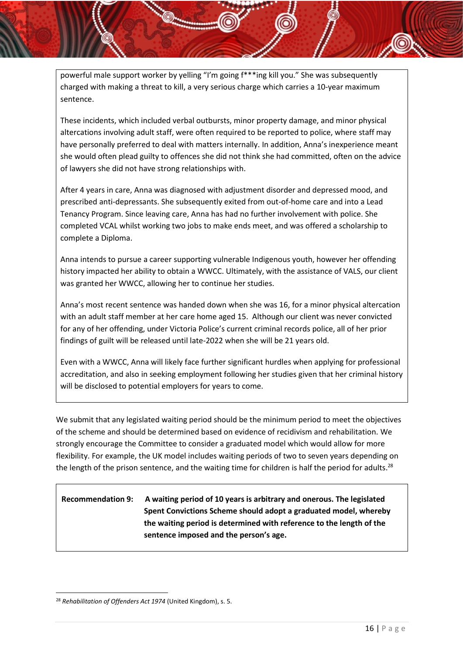powerful male support worker by yelling "I'm going f\*\*\*ing kill you." She was subsequently charged with making a threat to kill, a very serious charge which carries a 10-year maximum sentence.

These incidents, which included verbal outbursts, minor property damage, and minor physical altercations involving adult staff, were often required to be reported to police, where staff may have personally preferred to deal with matters internally. In addition, Anna's inexperience meant she would often plead guilty to offences she did not think she had committed, often on the advice of lawyers she did not have strong relationships with.

After 4 years in care, Anna was diagnosed with adjustment disorder and depressed mood, and prescribed anti-depressants. She subsequently exited from out-of-home care and into a Lead Tenancy Program. Since leaving care, Anna has had no further involvement with police. She completed VCAL whilst working two jobs to make ends meet, and was offered a scholarship to complete a Diploma.

Anna intends to pursue a career supporting vulnerable Indigenous youth, however her offending history impacted her ability to obtain a WWCC. Ultimately, with the assistance of VALS, our client was granted her WWCC, allowing her to continue her studies.

Anna's most recent sentence was handed down when she was 16, for a minor physical altercation with an adult staff member at her care home aged 15. Although our client was never convicted for any of her offending, under Victoria Police's current criminal records police, all of her prior findings of guilt will be released until late-2022 when she will be 21 years old.

Even with a WWCC, Anna will likely face further significant hurdles when applying for professional accreditation, and also in seeking employment following her studies given that her criminal history will be disclosed to potential employers for years to come.

We submit that any legislated waiting period should be the minimum period to meet the objectives of the scheme and should be determined based on evidence of recidivism and rehabilitation. We strongly encourage the Committee to consider a graduated model which would allow for more flexibility. For example, the UK model includes waiting periods of two to seven years depending on the length of the prison sentence, and the waiting time for children is half the period for adults.<sup>28</sup>

# **Recommendation 9: A waiting period of 10 years is arbitrary and onerous. The legislated Spent Convictions Scheme should adopt a graduated model, whereby the waiting period is determined with reference to the length of the sentence imposed and the person's age.**

1

<sup>28</sup> *Rehabilitation of Offenders Act 1974* (United Kingdom), s. 5.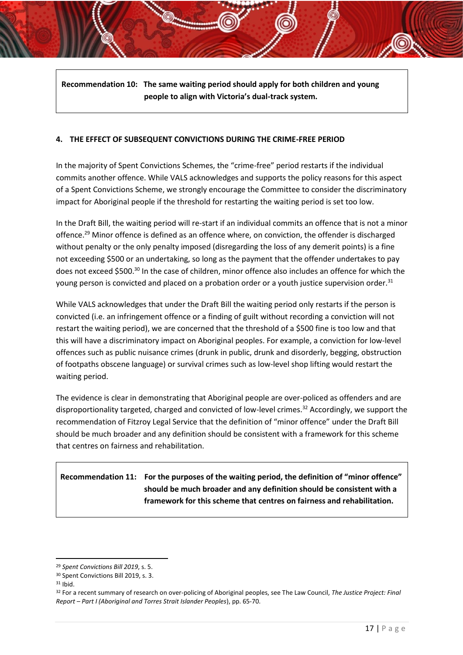**Recommendation 10: The same waiting period should apply for both children and young people to align with Victoria's dual-track system.** 

#### **4. THE EFFECT OF SUBSEQUENT CONVICTIONS DURING THE CRIME-FREE PERIOD**

In the majority of Spent Convictions Schemes, the "crime-free" period restarts if the individual commits another offence. While VALS acknowledges and supports the policy reasons for this aspect of a Spent Convictions Scheme, we strongly encourage the Committee to consider the discriminatory impact for Aboriginal people if the threshold for restarting the waiting period is set too low.

In the Draft Bill, the waiting period will re-start if an individual commits an offence that is not a minor offence.<sup>29</sup> Minor offence is defined as an offence where, on conviction, the offender is discharged without penalty or the only penalty imposed (disregarding the loss of any demerit points) is a fine not exceeding \$500 or an undertaking, so long as the payment that the offender undertakes to pay does not exceed \$500.<sup>30</sup> In the case of children, minor offence also includes an offence for which the young person is convicted and placed on a probation order or a youth justice supervision order.<sup>31</sup>

While VALS acknowledges that under the Draft Bill the waiting period only restarts if the person is convicted (i.e. an infringement offence or a finding of guilt without recording a conviction will not restart the waiting period), we are concerned that the threshold of a \$500 fine is too low and that this will have a discriminatory impact on Aboriginal peoples. For example, a conviction for low-level offences such as public nuisance crimes (drunk in public, drunk and disorderly, begging, obstruction of footpaths obscene language) or survival crimes such as low-level shop lifting would restart the waiting period.

The evidence is clear in demonstrating that Aboriginal people are over-policed as offenders and are disproportionality targeted, charged and convicted of low-level crimes.<sup>32</sup> Accordingly, we support the recommendation of Fitzroy Legal Service that the definition of "minor offence" under the Draft Bill should be much broader and any definition should be consistent with a framework for this scheme that centres on fairness and rehabilitation.

**Recommendation 11: For the purposes of the waiting period, the definition of "minor offence" should be much broader and any definition should be consistent with a framework for this scheme that centres on fairness and rehabilitation.** 

<sup>29</sup> *Spent Convictions Bill 2019*, s. 5.

<sup>30</sup> Spent Convictions Bill 2019, s. 3.

 $31$  Ibid.

<sup>32</sup> For a recent summary of research on over-policing of Aboriginal peoples, see The Law Council, *The Justice Project: Final Report – Part I (Aboriginal and Torres Strait Islander Peoples*), pp. 65-70.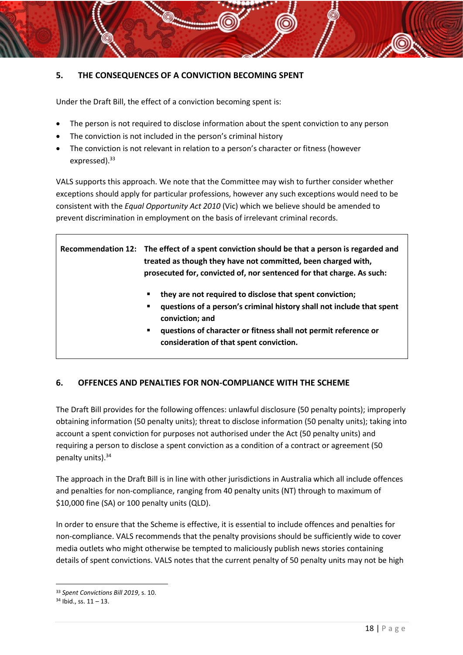## **5. THE CONSEQUENCES OF A CONVICTION BECOMING SPENT**

Under the Draft Bill, the effect of a conviction becoming spent is:

- The person is not required to disclose information about the spent conviction to any person
- The conviction is not included in the person's criminal history
- The conviction is not relevant in relation to a person's character or fitness (however expressed). 33

VALS supports this approach. We note that the Committee may wish to further consider whether exceptions should apply for particular professions, however any such exceptions would need to be consistent with the *Equal Opportunity Act 2010* (Vic) which we believe should be amended to prevent discrimination in employment on the basis of irrelevant criminal records.

**Recommendation 12: The effect of a spent conviction should be that a person is regarded and treated as though they have not committed, been charged with, prosecuted for, convicted of, nor sentenced for that charge. As such:** 

- they are not required to disclose that spent conviction;
- **questions of a person's criminal history shall not include that spent conviction; and**
- **questions of character or fitness shall not permit reference or consideration of that spent conviction.**

## **6. OFFENCES AND PENALTIES FOR NON-COMPLIANCE WITH THE SCHEME**

The Draft Bill provides for the following offences: unlawful disclosure (50 penalty points); improperly obtaining information (50 penalty units); threat to disclose information (50 penalty units); taking into account a spent conviction for purposes not authorised under the Act (50 penalty units) and requiring a person to disclose a spent conviction as a condition of a contract or agreement (50 penalty units).<sup>34</sup>

The approach in the Draft Bill is in line with other jurisdictions in Australia which all include offences and penalties for non-compliance, ranging from 40 penalty units (NT) through to maximum of \$10,000 fine (SA) or 100 penalty units (QLD).

In order to ensure that the Scheme is effective, it is essential to include offences and penalties for non-compliance. VALS recommends that the penalty provisions should be sufficiently wide to cover media outlets who might otherwise be tempted to maliciously publish news stories containing details of spent convictions. VALS notes that the current penalty of 50 penalty units may not be high

<sup>33</sup> *Spent Convictions Bill 2019*, s. 10.

 $34$  Ibid., ss.  $11 - 13$ .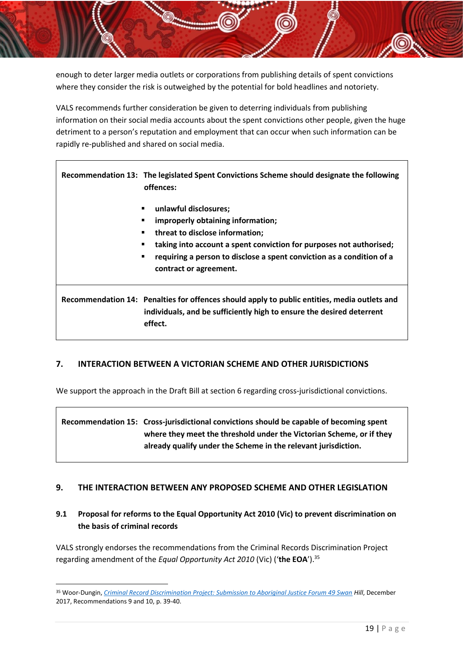enough to deter larger media outlets or corporations from publishing details of spent convictions where they consider the risk is outweighed by the potential for bold headlines and notoriety.

VALS recommends further consideration be given to deterring individuals from publishing information on their social media accounts about the spent convictions other people, given the huge detriment to a person's reputation and employment that can occur when such information can be rapidly re-published and shared on social media.

**Recommendation 13: The legislated Spent Convictions Scheme should designate the following offences:**

- **unlawful disclosures;**
- improperly obtaining information;
- **threat to disclose information;**
- taking into account a spent conviction for purposes not authorised;
- **requiring a person to disclose a spent conviction as a condition of a contract or agreement.**

**Recommendation 14: Penalties for offences should apply to public entities, media outlets and individuals, and be sufficiently high to ensure the desired deterrent effect.** 

#### **7. INTERACTION BETWEEN A VICTORIAN SCHEME AND OTHER JURISDICTIONS**

We support the approach in the Draft Bill at section 6 regarding cross-jurisdictional convictions.

**Recommendation 15: Cross-jurisdictional convictions should be capable of becoming spent where they meet the threshold under the Victorian Scheme, or if they already qualify under the Scheme in the relevant jurisdiction.** 

#### **9. THE INTERACTION BETWEEN ANY PROPOSED SCHEME AND OTHER LEGISLATION**

## **9.1 Proposal for reforms to the Equal Opportunity Act 2010 (Vic) to prevent discrimination on the basis of criminal records**

VALS strongly endorses the recommendations from the Criminal Records Discrimination Project regarding amendment of the *Equal Opportunity Act 2010* (Vic) ('**the EOA**').<sup>35</sup>

<sup>35</sup> Woor-Dungin, *[Criminal Record Discrimination Project: Submission to Aboriginal Justice Forum 49 Swan](https://cij.org.au/cms/wp-content/uploads/2018/08/aboriginal-justice-forum.pdf) Hill*, December 2017, Recommendations 9 and 10, p. 39-40.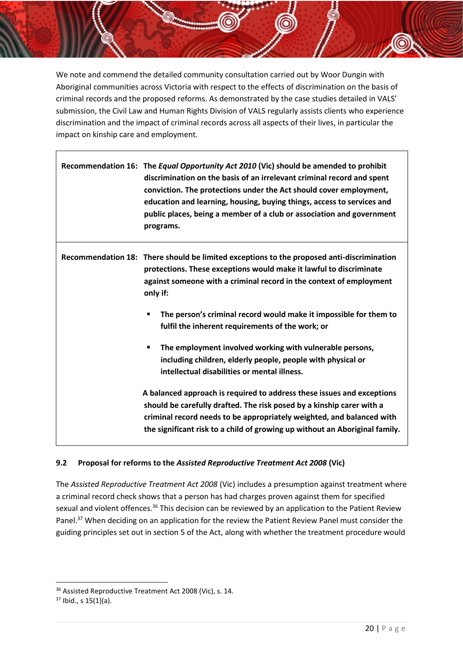We note and commend the detailed community consultation carried out by Woor Dungin with Aboriginal communities across Victoria with respect to the effects of discrimination on the basis of criminal records and the proposed reforms. As demonstrated by the case studies detailed in VALS' submission, the Civil Law and Human Rights Division of VALS regularly assists clients who experience discrimination and the impact of criminal records across all aspects of their lives, in particular the impact on kinship care and employment.

|  | Recommendation 16: The Equal Opportunity Act 2010 (Vic) should be amended to prohibit<br>discrimination on the basis of an irrelevant criminal record and spent<br>conviction. The protections under the Act should cover employment,<br>education and learning, housing, buying things, access to services and<br>public places, being a member of a club or association and government<br>programs. |
|--|-------------------------------------------------------------------------------------------------------------------------------------------------------------------------------------------------------------------------------------------------------------------------------------------------------------------------------------------------------------------------------------------------------|
|  | Recommendation 18: There should be limited exceptions to the proposed anti-discrimination<br>protections. These exceptions would make it lawful to discriminate<br>against someone with a criminal record in the context of employment<br>only if:                                                                                                                                                    |
|  | The person's criminal record would make it impossible for them to<br>fulfil the inherent requirements of the work; or                                                                                                                                                                                                                                                                                 |
|  | The employment involved working with vulnerable persons,<br>٠<br>including children, elderly people, people with physical or<br>intellectual disabilities or mental illness.                                                                                                                                                                                                                          |
|  | A balanced approach is required to address these issues and exceptions<br>should be carefully drafted. The risk posed by a kinship carer with a<br>criminal record needs to be appropriately weighted, and balanced with<br>the significant risk to a child of growing up without an Aboriginal family.                                                                                               |

#### **9.2 Proposal for reforms to the** *Assisted Reproductive Treatment Act 2008* **(Vic)**

The *Assisted Reproductive Treatment Act 2008* (Vic) includes a presumption against treatment where a criminal record check shows that a person has had charges proven against them for specified sexual and violent offences.<sup>36</sup> This decision can be reviewed by an application to the Patient Review Panel.<sup>37</sup> When deciding on an application for the review the Patient Review Panel must consider the guiding principles set out in section 5 of the Act, along with whether the treatment procedure would

 $\overline{a}$ 

<sup>36</sup> Assisted Reproductive Treatment Act 2008 (Vic), s. 14.

 $37$  Ibid., s  $15(1)(a)$ .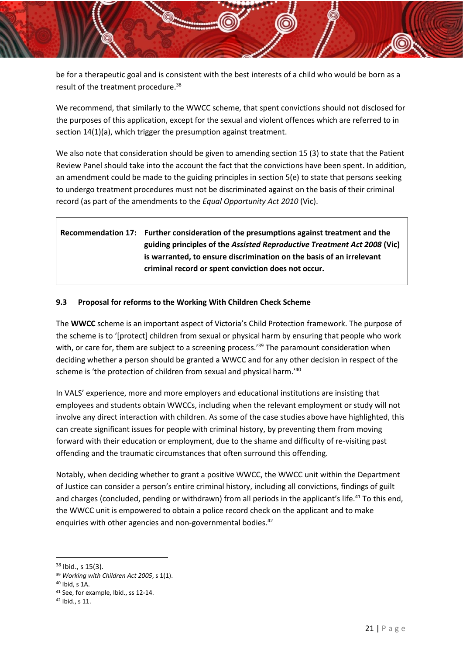be for a therapeutic goal and is consistent with the best interests of a child who would be born as a result of the treatment procedure.<sup>38</sup>

We recommend, that similarly to the WWCC scheme, that spent convictions should not disclosed for the purposes of this application, except for the sexual and violent offences which are referred to in section 14(1)(a), which trigger the presumption against treatment.

We also note that consideration should be given to amending section 15 (3) to state that the Patient Review Panel should take into the account the fact that the convictions have been spent. In addition, an amendment could be made to the guiding principles in section 5(e) to state that persons seeking to undergo treatment procedures must not be discriminated against on the basis of their criminal record (as part of the amendments to the *Equal Opportunity Act 2010* (Vic).

# **Recommendation 17: Further consideration of the presumptions against treatment and the guiding principles of the** *Assisted Reproductive Treatment Act 2008* **(Vic) is warranted, to ensure discrimination on the basis of an irrelevant criminal record or spent conviction does not occur.**

#### **9.3 Proposal for reforms to the Working With Children Check Scheme**

The **WWCC** scheme is an important aspect of Victoria's Child Protection framework. The purpose of the scheme is to '[protect] children from sexual or physical harm by ensuring that people who work with, or care for, them are subject to a screening process.<sup>'39</sup> The paramount consideration when deciding whether a person should be granted a WWCC and for any other decision in respect of the scheme is 'the protection of children from sexual and physical harm.'<sup>40</sup>

In VALS' experience, more and more employers and educational institutions are insisting that employees and students obtain WWCCs, including when the relevant employment or study will not involve any direct interaction with children. As some of the case studies above have highlighted, this can create significant issues for people with criminal history, by preventing them from moving forward with their education or employment, due to the shame and difficulty of re-visiting past offending and the traumatic circumstances that often surround this offending.

Notably, when deciding whether to grant a positive WWCC, the WWCC unit within the Department of Justice can consider a person's entire criminal history, including all convictions, findings of guilt and charges (concluded, pending or withdrawn) from all periods in the applicant's life.<sup>41</sup> To this end, the WWCC unit is empowered to obtain a police record check on the applicant and to make enquiries with other agencies and non-governmental bodies.<sup>42</sup>

<sup>&</sup>lt;sup>38</sup> Ibid., s 15(3).

<sup>39</sup> *Working with Children Act 2005*, s 1(1).

<sup>40</sup> Ibid, s 1A.

<sup>41</sup> See, for example, Ibid., ss 12-14.

<sup>42</sup> Ibid., s 11.